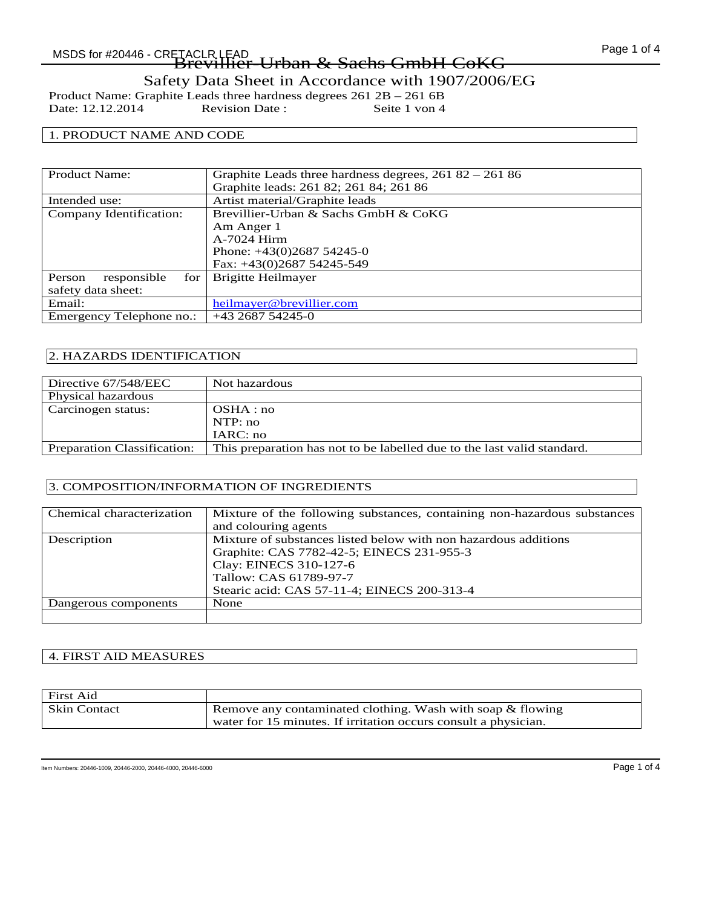# Safety Data Sheet in Accordance with 1907/2006/EG

Product Name: Graphite Leads three hardness degrees 261 2B – 261 6B<br>Date: 12.12.2014 Revision Date: Seite 1 von 4 Date: 12.12.2014

### 1. PRODUCT NAME AND CODE

| <b>Product Name:</b>         | Graphite Leads three hardness degrees, $26182 - 26186$ |
|------------------------------|--------------------------------------------------------|
|                              | Graphite leads: 261 82; 261 84; 261 86                 |
| Intended use:                | Artist material/Graphite leads                         |
| Company Identification:      | Brevillier-Urban & Sachs GmbH & CoKG                   |
|                              | Am Anger 1                                             |
|                              | A-7024 Hirm                                            |
|                              | Phone: $+43(0)268754245-0$                             |
|                              | Fax: +43(0)2687 54245-549                              |
| responsible<br>Person<br>for | Brigitte Heilmayer                                     |
| safety data sheet:           |                                                        |
| Email:                       | heilmayer@brevillier.com                               |
| Emergency Telephone no.:     | $+43268754245-0$                                       |

### 2. HAZARDS IDENTIFICATION

| Directive 67/548/EEC               | Not hazardous                                                           |
|------------------------------------|-------------------------------------------------------------------------|
| Physical hazardous                 |                                                                         |
| Carcinogen status:                 | OSHA:no                                                                 |
|                                    | NTP:no                                                                  |
|                                    | IARC: no                                                                |
| <b>Preparation Classification:</b> | This preparation has not to be labelled due to the last valid standard. |
|                                    |                                                                         |

# 3. COMPOSITION/INFORMATION OF INGREDIENTS

| Chemical characterization | Mixture of the following substances, containing non-hazardous substances |
|---------------------------|--------------------------------------------------------------------------|
|                           | and colouring agents                                                     |
| Description               | Mixture of substances listed below with non hazardous additions          |
|                           | Graphite: CAS 7782-42-5; EINECS 231-955-3                                |
|                           | Clay: EINECS 310-127-6                                                   |
|                           | Tallow: CAS 61789-97-7                                                   |
|                           | Stearic acid: CAS 57-11-4; EINECS 200-313-4                              |
| Dangerous components      | None                                                                     |
|                           |                                                                          |

### 4. FIRST AID MEASURES

| First Aid           |                                                                 |
|---------------------|-----------------------------------------------------------------|
| <b>Skin Contact</b> | Remove any contaminated clothing. Wash with soap & flowing      |
|                     | water for 15 minutes. If irritation occurs consult a physician. |

Item Numbers: 20446-1009, 20446-2000, 20446-4000, 20446-6000 Page 1 of 4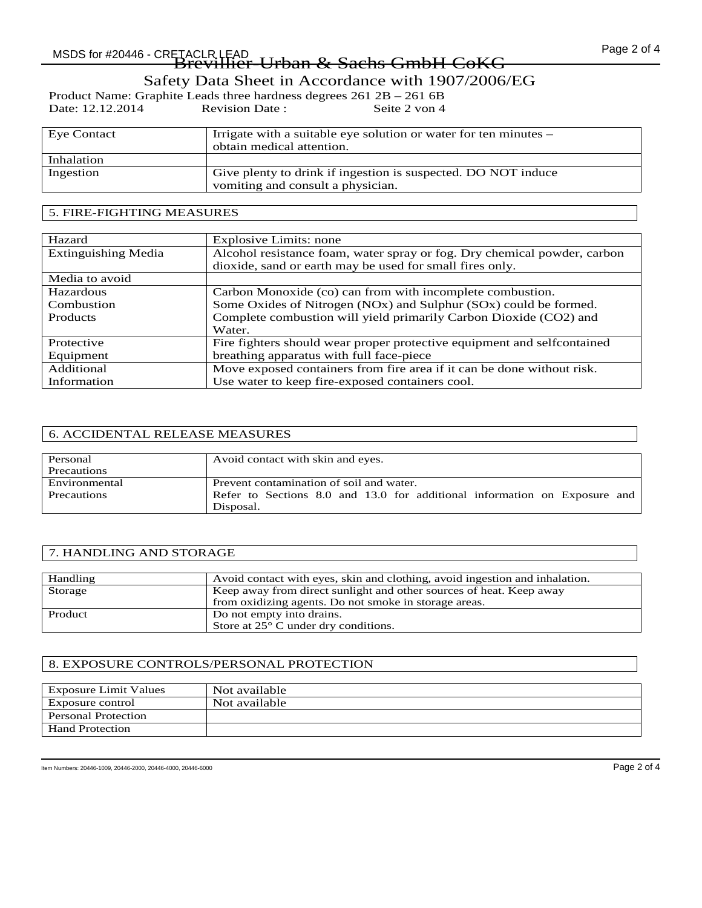Safety Data Sheet in Accordance with 1907/2006/EG

Product Name: Graphite Leads three hardness degrees 261 2B – 261 6B<br>Date: 12.12.2014 Revision Date: Seite 2 von 4 Date: 12.12.2014

| Eye Contact | Irrigate with a suitable eye solution or water for ten minutes – |
|-------------|------------------------------------------------------------------|
|             | obtain medical attention.                                        |
| Inhalation  |                                                                  |
| Ingestion   | Give plenty to drink if ingestion is suspected. DO NOT induce    |
|             | vomiting and consult a physician.                                |

### 5. FIRE-FIGHTING MEASURES

| Hazard                     | Explosive Limits: none                                                   |
|----------------------------|--------------------------------------------------------------------------|
| <b>Extinguishing Media</b> | Alcohol resistance foam, water spray or fog. Dry chemical powder, carbon |
|                            | dioxide, sand or earth may be used for small fires only.                 |
| Media to avoid             |                                                                          |
| Hazardous                  | Carbon Monoxide (co) can from with incomplete combustion.                |
| Combustion                 | Some Oxides of Nitrogen (NOx) and Sulphur (SOx) could be formed.         |
| <b>Products</b>            | Complete combustion will yield primarily Carbon Dioxide (CO2) and        |
|                            | Water.                                                                   |
| Protective                 | Fire fighters should wear proper protective equipment and selfcontained  |
| Equipment                  | breathing apparatus with full face-piece                                 |
| Additional                 | Move exposed containers from fire area if it can be done without risk.   |
| Information                | Use water to keep fire-exposed containers cool.                          |

#### 6. ACCIDENTAL RELEASE MEASURES

| Personal      | Avoid contact with skin and eyes.                                         |
|---------------|---------------------------------------------------------------------------|
| Precautions   |                                                                           |
| Environmental | Prevent contamination of soil and water.                                  |
| Precautions   | Refer to Sections 8.0 and 13.0 for additional information on Exposure and |
|               | Disposal.                                                                 |

#### 7. HANDLING AND STORAGE

| Handling | Avoid contact with eyes, skin and clothing, avoid in gestion and inhalation. |
|----------|------------------------------------------------------------------------------|
| Storage  | Keep away from direct sunlight and other sources of heat. Keep away          |
|          | from oxidizing agents. Do not smoke in storage areas.                        |
| Product  | Do not empty into drains.                                                    |
|          | Store at $25^{\circ}$ C under dry conditions.                                |

#### 8. EXPOSURE CONTROLS/PERSONAL PROTECTION

| Exposure Limit Values      | Not available |
|----------------------------|---------------|
| Exposure control           | Not available |
| <b>Personal Protection</b> |               |
| <b>Hand Protection</b>     |               |

Item Numbers: 20446-1009, 20446-2000, 20446-4000, 20446-6000 Page 2 of 4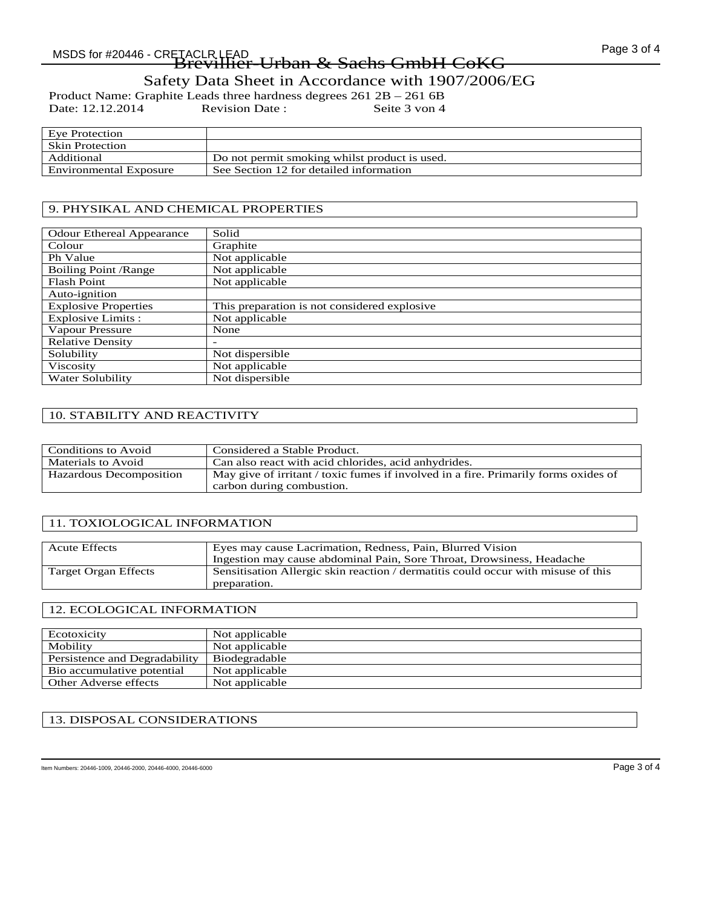# Page 3 of 4 MSDS for #20446 - CRETACLR LEAD Brevillier-Urban & Sachs GmbH CoKG

Safety Data Sheet in Accordance with 1907/2006/EG

Product Name: Graphite Leads three hardness degrees 261 2B – 261 6B<br>Date: 12.12.2014 Revision Date: Seite 3 von 4 Date: 12.12.2014

| Eve Protection         |                                               |
|------------------------|-----------------------------------------------|
| <b>Skin Protection</b> |                                               |
| Additional             | Do not permit smoking whilst product is used. |
| Environmental Exposure | See Section 12 for detailed information       |

# 9. PHYSIKAL AND CHEMICAL PROPERTIES

| <b>Odour Ethereal Appearance</b> | Solid                                        |
|----------------------------------|----------------------------------------------|
| Colour                           | Graphite                                     |
| Ph Value                         | Not applicable                               |
| <b>Boiling Point / Range</b>     | Not applicable                               |
| <b>Flash Point</b>               | Not applicable                               |
| Auto-ignition                    |                                              |
| <b>Explosive Properties</b>      | This preparation is not considered explosive |
| Explosive Limits :               | Not applicable                               |
| Vapour Pressure                  | None                                         |
| <b>Relative Density</b>          |                                              |
| Solubility                       | Not dispersible                              |
| Viscosity                        | Not applicable                               |
| Water Solubility                 | Not dispersible                              |

# 10. STABILITY AND REACTIVITY

| Conditions to Avoid     | Considered a Stable Product.                                                        |
|-------------------------|-------------------------------------------------------------------------------------|
| Materials to Avoid      | Can also react with acid chlorides, acid anhydrides.                                |
| Hazardous Decomposition | May give of irritant / toxic fumes if involved in a fire. Primarily forms oxides of |
|                         | carbon during combustion.                                                           |

# 11. TOXIOLOGICAL INFORMATION

| Ingestion may cause abdominal Pain, Sore Throat, Drowsiness, Headache             |
|-----------------------------------------------------------------------------------|
| Sensitisation Allergic skin reaction / dermatitis could occur with misuse of this |
| preparation.                                                                      |

#### 12. ECOLOGICAL INFORMATION

| Ecotoxicity                   | Not applicable |
|-------------------------------|----------------|
| Mobility                      | Not applicable |
| Persistence and Degradability | Biodegradable  |
| Bio accumulative potential    | Not applicable |
| Other Adverse effects         | Not applicable |

# 13. DISPOSAL CONSIDERATIONS